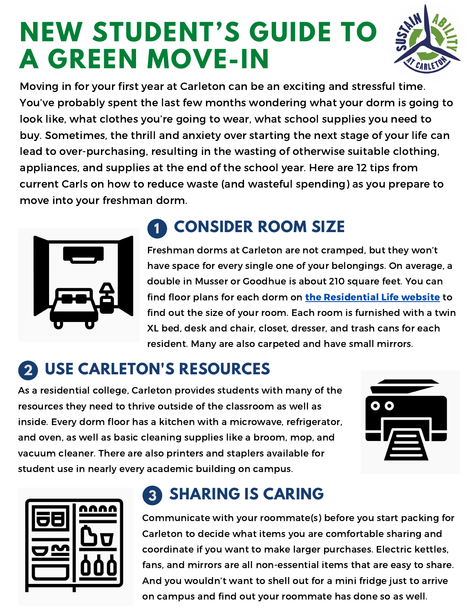# **NEW STUDENT'S GUIDE TO A GREEN MOVE-IN**



Moving in for your first year at Carleton can be an exciting and stressful time. You've probably spent the last few months wondering what your dorm is going to look like, what clothes you're going to wear, what school supplies you need to buy. Sometimes, the thrill and anxiety over starting the next stage of your life can lead to over-purchasing, resulting in the wasting of otherwise suitable clothing, appliances, and supplies at the end of the school year. Here are 12 tips from current Carls on how to reduce waste (and wasteful spending) as you prepare to move into your freshman dorm.



#### **1 CONSIDER ROOM SIZE**

Freshman dorms at Carleton are not cramped, but they won't have space for every single one of your belongings. On average, a double in Musser or Goodhue is about 210 square feet. You can find floor plans for each dorm on the [Residential](https://apps.carleton.edu/student/housing/housing_options/residential_buildings/) Life website to find out the size of your room. Each room is furnished with a twin XL bed, desk and chair, closet, dresser, and trash cans for each resident. Many are also carpeted and have small mirrors.

#### **2 USE CARLETON'S RESOURCES**

As a residential college, Carleton provides students with many of the resources they need to thrive outside of the classroom as well as inside. Every dorm floor has a kitchen with a microwave, refrigerator, and oven, as well as basic cleaning supplies like a broom, mop, and vacuum cleaner. There are also printers and staplers available for student use in nearly every academic building on campus.





## **3 SHARING IS CARING**

Communicate with your roommate(s) before you start packing for Carleton to decide what items you are comfortable sharing and coordinate if you want to make larger purchases. Electric kettles, fans, and mirrors are all non-essential items that are easy to share. And you wouldn't want to shell out for a mini fridge just to arrive on campus and find out your roommate has done so as well.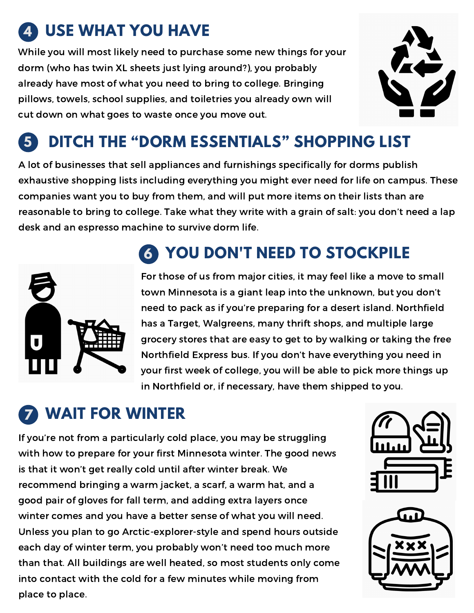# **4 USE WHAT YOU HAVE**

While you will most likely need to purchase some new things for your dorm (who has twin XL sheets just lying around?), you probably already have most of what you need to bring to college. Bringing pillows, towels, school supplies, and toiletries you already own will cut down on what goes to waste once you move out.



#### **5 DITCH THE "DORM ESSENTIALS" SHOPPING LIST**

A lot of businesses that sell appliances and furnishings specifically for dorms publish exhaustive shopping lists including everything you might ever need for life on campus. These companies want you to buy from them, and will put more items on their lists than are reasonable to bring to college. Take what they write with a grain of salt: you don't need a lap desk and an espresso machine to survive dorm life.



## **6 YOU DON'T NEED TO STOCKPILE**

For those of us from major cities, it may feel like a move to small town Minnesota is a giant leap into the unknown, but you don't need to pack as if you're preparing for a desert island. Northfield has a Target, Walgreens, many thrift shops, and multiple large grocery stores that are easy to get to by walking or taking the free Northfield Express bus. If you don't have everything you need in your first week of college, you will be able to pick more things up in Northfield or, if necessary, have them shipped to you.

#### **7 WAIT FOR WINTER**

If you're not from a particularly cold place, you may be struggling with how to prepare for your first Minnesota winter. The good news is that it won't get really cold until after winter break. We recommend bringing a warm jacket, a scarf, a warm hat, and a good pair of gloves for fall term, and adding extra layers once winter comes and you have a better sense of what you will need. Unless you plan to go Arctic-explorer-style and spend hours outside each day of winter term, you probably won't need too much more than that. All buildings are well heated, so most students only come into contact with the cold for a few minutes while moving from place to place.



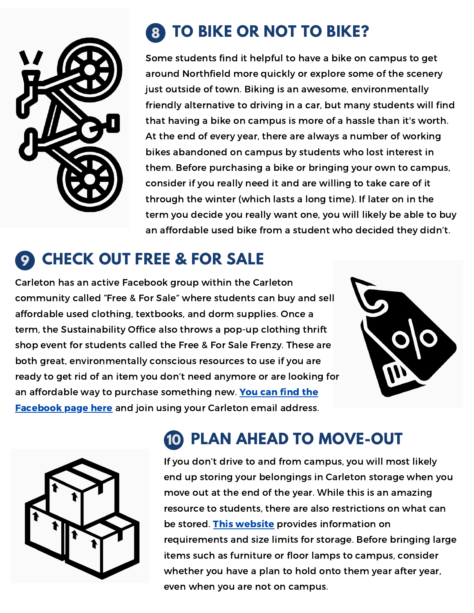

# **8 TO BIKE OR NOT TO BIKE?**

Some students find it helpful to have a bike on campus to get around Northfield more quickly or explore some of the scenery just outside of town. Biking is an awesome, environmentally friendly alternative to driving in a car, but many students will find that having a bike on campus is more of a hassle than it's worth. At the end of every year, there are always a number of working bikes abandoned on campus by students who lost interest in them. Before purchasing a bike or bringing your own to campus, consider if you really need it and are willing to take care of it through the winter (which lasts a long time). If later on in the term you decide you really want one, you will likely be able to buy an affordable used bike from a student who decided they didn't.

#### **9 CHECK OUT FREE & FOR SALE**

Carleton has an active Facebook group within the Carleton community called "Free & For Sale" where students can buy and sell affordable used clothing, textbooks, and dorm supplies. Once a term, the Sustainability Office also throws a pop-up clothing thrift shop event for students called the Free & For Sale Frenzy. These are both great, environmentally conscious resources to use if you are ready to get rid of an item you don't need anymore or are looking for an affordable way to purchase [something](https://www.facebook.com/groups/carletonffs) new. You can find the Facebook page here and join using your Carleton email address.





# **10 PLAN AHEAD TO MOVE-OUT**

If you don't drive to and from campus, you will most likely end up storing your belongings in Carleton storage when you move out at the end of the year. While this is an amazing resource to students, there are also restrictions on what can be stored. This [website](https://apps.carleton.edu/student/housing/storage/) provides information on requirements and size limits for storage. Before bringing large items such as furniture or floor lamps to campus, consider whether you have a plan to hold onto them year after year, even when you are not on campus.